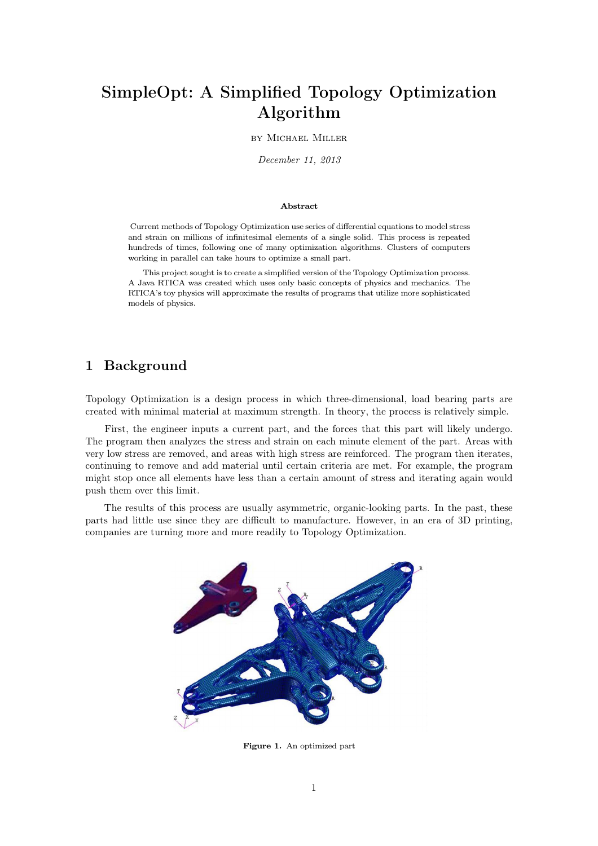# **SimpleOpt: A Simplified Topology Optimization Algorithm**

#### by Michael Miller

*December 11, 2013*

#### **Abstract**

Current methods of Topology Optimization use series of differential equations to model stress and strain on millions of infinitesimal elements of a single solid. This process is repeated hundreds of times, following one of many optimization algorithms. Clusters of computers working in parallel can take hours to optimize a small part.

This project sought is to create a simplified version of the Topology Optimization process. A Java RTICA was created which uses only basic concepts of physics and mechanics. The RTICA's toy physics will approximate the results of programs that utilize more sophisticated models of physics.

## **1 Background**

Topology Optimization is a design process in which three-dimensional, load bearing parts are created with minimal material at maximum strength. In theory, the process is relatively simple.

First, the engineer inputs a current part, and the forces that this part will likely undergo. The program then analyzes the stress and strain on each minute element of the part. Areas with very low stress are removed, and areas with high stress are reinforced. The program then iterates, continuing to remove and add material until certain criteria are met. For example, the program might stop once all elements have less than a certain amount of stress and iterating again would push them over this limit.

The results of this process are usually asymmetric, organic-looking parts. In the past, these parts had little use since they are difficult to manufacture. However, in an era of 3D printing, companies are turning more and more readily to Topology Optimization.



**Figure 1.** An optimized part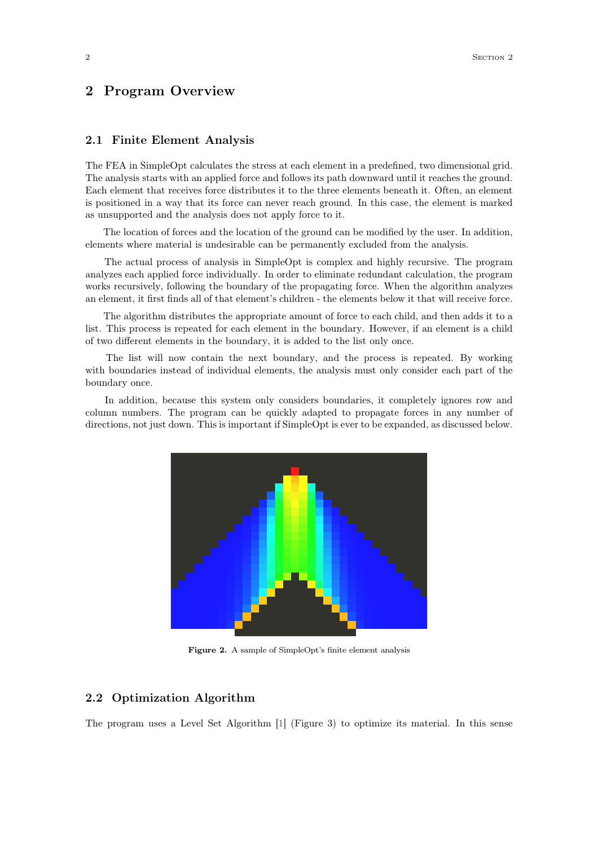## **2 Program Overview**

#### **2.1 Finite Element Analysis**

The FEA in SimpleOpt calculates the stress at each element in a predefined, two dimensional grid. The analysis starts with an applied force and follows its path downward until it reaches the ground. Each element that receives force distributes it to the three elements beneath it. Often, an element is positioned in a way that its force can never reach ground. In this case, the element is marked as unsupported and the analysis does not apply force to it.

The location of forces and the location of the ground can be modified by the user. In addition, elements where material is undesirable can be permanently excluded from the analysis.

The actual process of analysis in SimpleOpt is complex and highly recursive. The program analyzes each applied force individually. In order to eliminate redundant calculation, the program works recursively, following the boundary of the propagating force. When the algorithm analyzes an element, it first finds all of that element's children - the elements below it that will receive force.

The algorithm distributes the appropriate amount of force to each child, and then adds it to a list. This process is repeated for each element in the boundary. However, if an element is a child of two different elements in the boundary, it is added to the list only once.

The list will now contain the next boundary, and the process is repeated. By working with boundaries instead of individual elements, the analysis must only consider each part of the boundary once.

In addition, because this system only considers boundaries, it completely ignores row and column numbers. The program can be quickly adapted to propagate forces in any number of directions, not just down. This is important if SimpleOpt is ever to be expanded, as discussed below.



**Figure 2.** A sample of SimpleOpt's finite element analysis

#### **2.2 Optimization Algorithm**

The program uses a Level Set Algorithm [\[1\]](#page-4-0) (Figure 3) to optimize its material. In this sense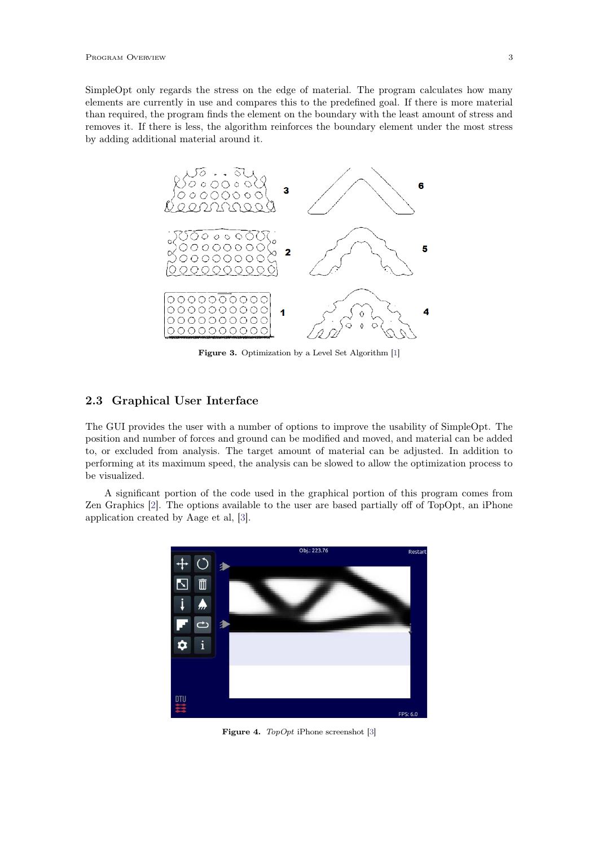SimpleOpt only regards the stress on the edge of material. The program calculates how many elements are currently in use and compares this to the predefined goal. If there is more material than required, the program finds the element on the boundary with the least amount of stress and removes it. If there is less, the algorithm reinforces the boundary element under the most stress by adding additional material around it.



Figure 3. Optimization by a Level Set Algorithm [\[1\]](#page-4-0)

### **2.3 Graphical User Interface**

The GUI provides the user with a number of options to improve the usability of SimpleOpt. The position and number of forces and ground can be modified and moved, and material can be added to, or excluded from analysis. The target amount of material can be adjusted. In addition to performing at its maximum speed, the analysis can be slowed to allow the optimization process to be visualized.

A significant portion of the code used in the graphical portion of this program comes from Zen Graphics [\[2\]](#page-4-1). The options available to the user are based partially off of TopOpt, an iPhone application created by Aage et al, [\[3\]](#page-4-2).



**Figure 4.** *TopOpt* iPhone screenshot [\[3\]](#page-4-2)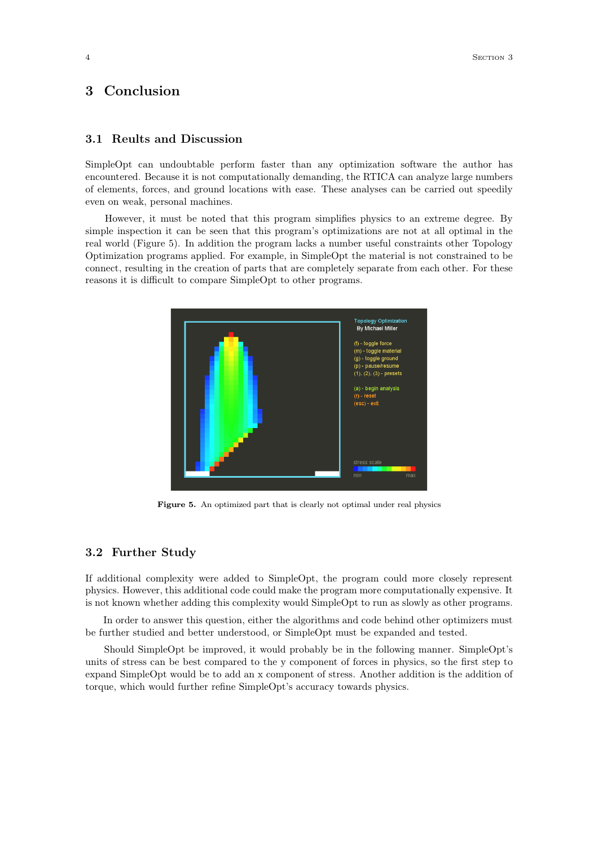## **3 Conclusion**

## **3.1 Reults and Discussion**

SimpleOpt can undoubtable perform faster than any optimization software the author has encountered. Because it is not computationally demanding, the RTICA can analyze large numbers of elements, forces, and ground locations with ease. These analyses can be carried out speedily even on weak, personal machines.

However, it must be noted that this program simplifies physics to an extreme degree. By simple inspection it can be seen that this program's optimizations are not at all optimal in the real world (Figure 5). In addition the program lacks a number useful constraints other Topology Optimization programs applied. For example, in SimpleOpt the material is not constrained to be connect, resulting in the creation of parts that are completely separate from each other. For these reasons it is difficult to compare SimpleOpt to other programs.



Figure 5. An optimized part that is clearly not optimal under real physics

#### **3.2 Further Study**

If additional complexity were added to SimpleOpt, the program could more closely represent physics. However, this additional code could make the program more computationally expensive. It is not known whether adding this complexity would SimpleOpt to run as slowly as other programs.

In order to answer this question, either the algorithms and code behind other optimizers must be further studied and better understood, or SimpleOpt must be expanded and tested.

Should SimpleOpt be improved, it would probably be in the following manner. SimpleOpt's units of stress can be best compared to the y component of forces in physics, so the first step to expand SimpleOpt would be to add an x component of stress. Another addition is the addition of torque, which would further refine SimpleOpt's accuracy towards physics.